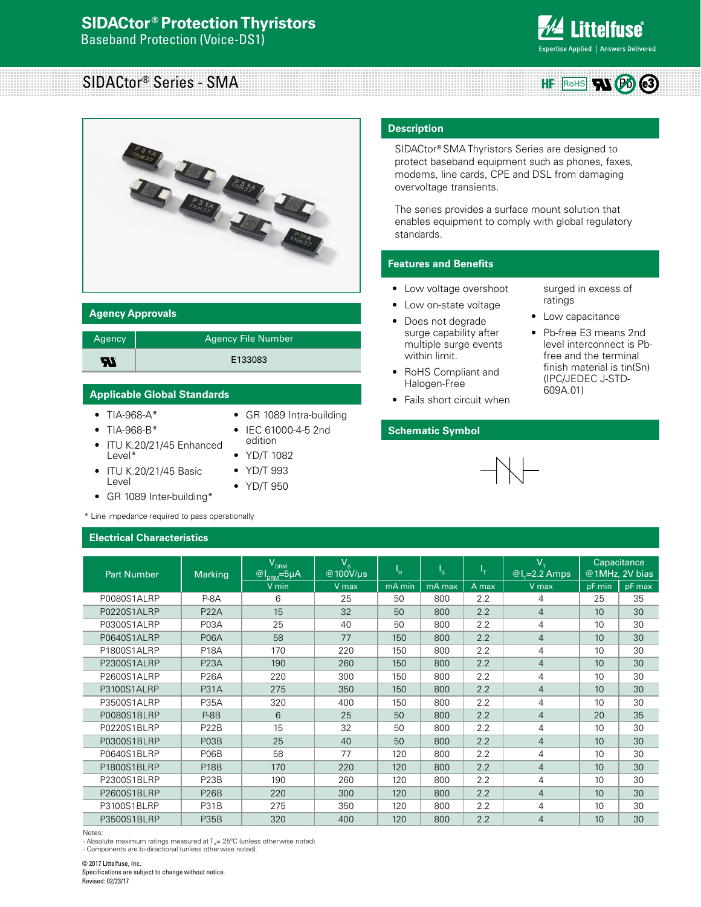

ROHS W PD

**HF** 

surged in excess of

Low capacitance • Pb-free E3 means 2nd level interconnect is Pbfree and the terminal finish material is tin(Sn) (IPC/JEDEC J-STD-

ratings

609A.01)

# SIDACtor® Series - SMA



# **Agency Approvals**

| Agency | Agency File Number |
|--------|--------------------|
| -77    | E133083            |

### **Applicable Global Standards**

- TIA-968-A\*
- TIA-968-B\*
- ITU K.20/21/45 Enhanced Level\*
- ITU K.20/21/45 Basic Level
- GR 1089 Inter-building\*

\* Line impedance required to pass operationally

#### **Electrical Characteristics**

|  | • GR 1089 Intra-building |
|--|--------------------------|

- IEC 61000-4-5 2nd
- edition • YD/T 1082
- YD/T 993
- 
- YD/T 950

# **Description**

SIDACtor® SMA Thyristors Series are designed to protect baseband equipment such as phones, faxes, modems, line cards, CPE and DSL from damaging overvoltage transients.

The series provides a surface mount solution that enables equipment to comply with global regulatory standards.

# **Features and Benefits**

- Low voltage overshoot
- Low on-state voltage
- Does not degrade surge capability after multiple surge events within limit.
- RoHS Compliant and Halogen-Free
- Fails short circuit when

# **Schematic Symbol**

| <b>Part Number</b> | Marking           | $\mathsf{V}_{_{\mathsf{DRM}}}$<br>$@I_{DRM} = 5\mu A$ | $V_{\rm s}$<br>@100V/us | ٠н.          | $I_{\rm S}$ | ч.    | $V_T$<br>$@l_{\tau}=2.2$ Amps |        | Capacitance<br>@1MHz, 2V bias |
|--------------------|-------------------|-------------------------------------------------------|-------------------------|--------------|-------------|-------|-------------------------------|--------|-------------------------------|
|                    |                   | V min                                                 | V max                   | mA min       | mA max      | A max | V max                         | pF min | pF max                        |
| P0080S1ALRP        | $P-8A$            | 6                                                     | 25                      | 50           | 800         | 2.2   | 4                             | 25     | 35                            |
| P0220S1ALRP        | <b>P22A</b>       | 15                                                    | 32                      | 50           | 800         | 2.2   | $\overline{4}$                | 10     | 30                            |
| P0300S1ALRP        | P <sub>0</sub> 3A | 25                                                    | 40                      | 50           | 800         | 2.2   | 4                             | 10     | 30                            |
| P0640S1ALRP        | <b>P06A</b>       | 58                                                    | 77                      | 150          | 800         | 2.2   | $\overline{4}$                | 10     | 30                            |
| P1800S1ALRP        | <b>P18A</b>       | 170                                                   | 220                     | 150          | 800         | 2.2   | 4                             | 10     | 30                            |
| P2300S1ALRP        | <b>P23A</b>       | 190                                                   | 260                     | 150          | 800         | 2.2   | $\overline{4}$                | 10     | 30                            |
| P2600S1ALRP        | <b>P26A</b>       | 220                                                   | 300                     | 150          | 800         | 2.2   | 4                             | 10     | 30                            |
| P3100S1ALRP        | <b>P31A</b>       | 275                                                   | 350                     | 150          | 800         | 2.2   | $\overline{4}$                | 10     | 30                            |
| P3500S1ALRP        | <b>P35A</b>       | 320                                                   | 400                     | 150          | 800         | 2.2   | 4                             | 10     | 30                            |
| P0080S1BLRP        | $P-8B$            | 6                                                     | 25                      | 50           | 800         | 2.2   | $\overline{4}$                | 20     | 35                            |
| P0220S1BLRP        | <b>P22B</b>       | 15                                                    | 32                      | 50           | 800         | 2.2   | 4                             | 10     | 30                            |
| P0300S1BLRP        | <b>P03B</b>       | 25                                                    | 40                      | $50^{\circ}$ | 800         | 2.2   | 4                             | 10     | 30                            |
| P0640S1BLRP        | P <sub>06</sub> B | 58                                                    | 77                      | 120          | 800         | 2.2   | 4                             | 10     | 30                            |
| P1800S1BLRP        | <b>P18B</b>       | 170                                                   | 220                     | 120          | 800         | 2.2   | 4                             | 10     | 30                            |
| P2300S1BLRP        | <b>P23B</b>       | 190                                                   | 260                     | 120          | 800         | 2.2   | 4                             | 10     | 30                            |
| P2600S1BLRP        | <b>P26B</b>       | 220                                                   | 300                     | 120          | 800         | 2.2   | $\overline{4}$                | 10     | 30                            |
| P3100S1BLRP        | <b>P31B</b>       | 275                                                   | 350                     | 120          | 800         | 2.2   | 4                             | 10     | 30                            |
| P3500S1BLRP        | <b>P35B</b>       | 320                                                   | 400                     | 120          | 800         | 2.2   | 4                             | 10     | 30                            |

Notes:

- Absolute maximum ratings measured at  $T<sub>n</sub> = 25$ °C (unless otherwise noted).

- Components are bi-directional (unless otherwise noted).

© 2017 Littelfuse, Inc. Specifications are subject to change without notice. Revised: 02/23/17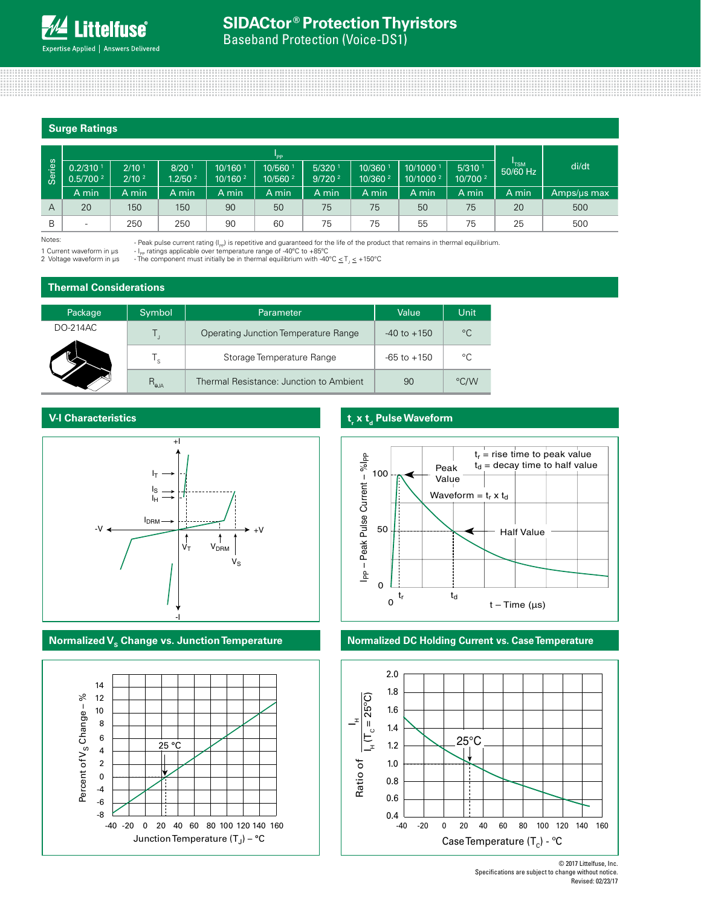# **Surge Ratings**

|        |                                        |                           |                                          |                               | "PP                             |                                            |                               |                                 |                              |            |             |
|--------|----------------------------------------|---------------------------|------------------------------------------|-------------------------------|---------------------------------|--------------------------------------------|-------------------------------|---------------------------------|------------------------------|------------|-------------|
| Series | $0.2/310^{-7}$<br>0.5/700 <sup>2</sup> | $2/10^{-7}$<br>$2/10^{2}$ | 8/20 <sup>1</sup><br>1.2/50 <sup>2</sup> | 10/160<br>10/160 <sup>2</sup> | 10/560 1<br>10/560 <sup>2</sup> | $5/320$ <sup>1</sup><br>9/720 <sup>2</sup> | 10/360<br>10/360 <sup>2</sup> | 10/1000<br>10/1000 <sup>2</sup> | 5/310<br>10/700 <sup>2</sup> | $50/60$ Hz | di/dt       |
|        | A min                                  | A min                     | A min                                    | A min                         | A min                           | A min                                      | A min                         | A min                           | A min                        | A min      | Amps/us max |
| A      | 20                                     | 150                       | 150                                      | 90                            | 50                              | 75                                         | 75                            | 50                              | 75                           | 20         | 500         |
| B      | $\overline{\phantom{0}}$               | 250                       | 250                                      | 90                            | 60                              | 75                                         | 75                            | 55                              | 75                           | 25         | 500         |

Notes:

1 Current waveform in µs 2 Voltage waveform in us - Peak pulse current rating (I<sub>PP</sub>) is repetitive and guaranteed for the life of the product that remains in thermal equilibrium.

- I<sub>PP</sub> ratings applicable over temperature range of -40°C to +85°C

- The component must initially be in thermal equilibrium with -40°C  $\leq$  T<sub>J</sub>  $\leq$  +150°C

#### **Thermal Considerations**

| Package  | Symbol         | Parameter                               | Value           | Unit        |
|----------|----------------|-----------------------------------------|-----------------|-------------|
| DO-214AC |                | Operating Junction Temperature Range    | $-40$ to $+150$ | $^{\circ}C$ |
|          | ' s            | Storage Temperature Range               | $-65$ to $+150$ | °C          |
|          | $R_{\theta$ JA | Thermal Resistance: Junction to Ambient | 90              | °C/W        |

#### **V-I Characteristics**



# **Normalized V<sub>s</sub> Change vs. Junction Temperature <b>Normalized DC Holding Current vs. Case Temperature**



# **t**, **x t**<sub>d</sub> Pulse Waveform





<sup>© 2017</sup> Littelfuse, Inc. Specifications are subject to change without notice. Revised: 02/23/17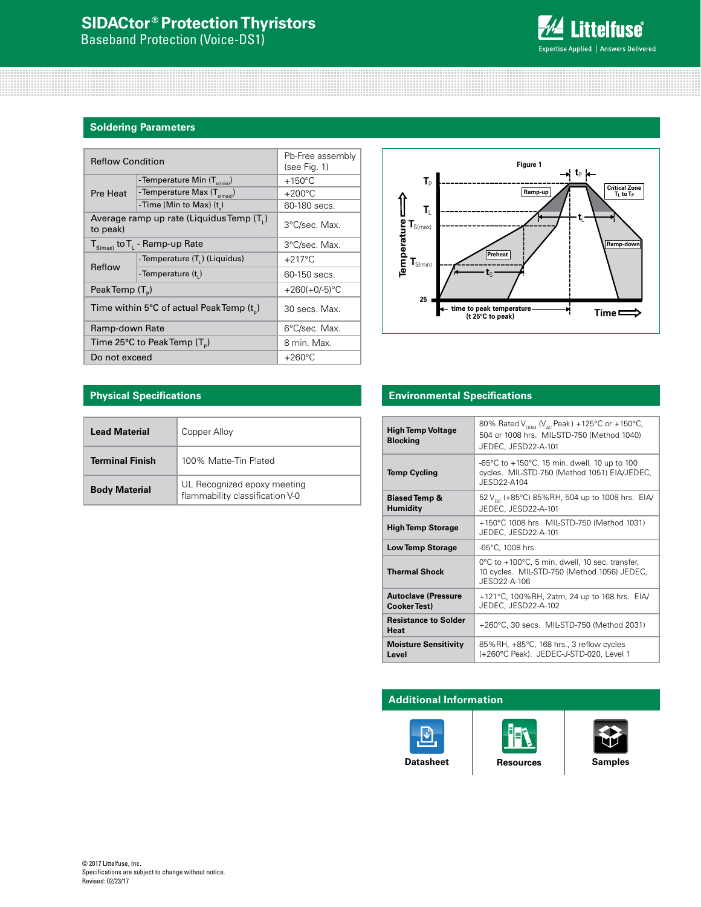# **SIDACtor ® Protection Thyristors**

Baseband Protection (Voice-DS1)



# **Soldering Parameters**

| <b>Reflow Condition</b> |                                             | Pb-Free assembly<br>(see Fig. 1) |                                                       |                                                |
|-------------------------|---------------------------------------------|----------------------------------|-------------------------------------------------------|------------------------------------------------|
|                         | - Temperature Min (T <sub>s(min)</sub> )    | $+150^{\circ}$ C                 | Ть                                                    |                                                |
| Pre Heat                | - Temperature Max $(T_{\text{simax}})$      | $+200^{\circ}$ C                 |                                                       |                                                |
|                         | -Time (Min to Max) (t)                      | 60-180 secs.                     | T,                                                    |                                                |
| to peak)                | Average ramp up rate (Liquidus Temp (T,)    | 3°C/sec. Max.                    | $\Gamma_{S(max)}$                                     |                                                |
|                         | $T_{S(max)}$ to $T_{L}$ - Ramp-up Rate      | 3°C/sec. Max.                    |                                                       |                                                |
|                         | -Temperature (T.) (Liquidus)                | $+217^{\circ}$ C                 | Temperatur<br>$\textbf{T}_{\mathsf{S}(\textsf{min})}$ | Preheat                                        |
| Reflow                  | -Temperature (t,)                           | 60-150 secs.                     |                                                       | Lς                                             |
| PeakTemp $(T_{n})$      |                                             | $+260(+0/-5)$ °C                 |                                                       |                                                |
|                         | Time within 5°C of actual Peak Temp $(t_n)$ | 30 secs. Max.                    | 25                                                    | + time to peak temperature<br>(t 25°C to peak) |
| Ramp-down Rate          |                                             | 6°C/sec. Max.                    |                                                       |                                                |
|                         | Time 25°C to Peak Temp $(T_{n})$            | 8 min. Max.                      |                                                       |                                                |
| Do not exceed           |                                             | $+260^{\circ}$ C                 |                                                       |                                                |



# **Physical Specifications**

| <b>Lead Material</b>   | Copper Alloy                                                   |
|------------------------|----------------------------------------------------------------|
| <b>Terminal Finish</b> | 100% Matte-Tin Plated                                          |
| <b>Body Material</b>   | UL Recognized epoxy meeting<br>flammability classification V-0 |

# **Environmental Specifications**

| <b>High Temp Voltage</b><br><b>Blocking</b>       | 80% Rated V <sub>DRM</sub> (V <sub>AC</sub> Peak) +125°C or +150°C,<br>504 or 1008 hrs. MIL-STD-750 (Method 1040)<br>JEDEC, JESD22-A-101 |
|---------------------------------------------------|------------------------------------------------------------------------------------------------------------------------------------------|
| <b>Temp Cycling</b>                               | -65°C to $+150$ °C, 15 min. dwell, 10 up to 100<br>cycles. MIL-STD-750 (Method 1051) EIA/JEDEC,<br>JFSD22-A104                           |
| <b>Biased Temp &amp;</b><br><b>Humidity</b>       | 52 V <sub>pc</sub> (+85°C) 85%RH, 504 up to 1008 hrs. EIA/<br>JEDEC, JESD22-A-101                                                        |
| <b>High Temp Storage</b>                          | +150°C 1008 hrs. MIL-STD-750 (Method 1031)<br>JEDEC, JESD22-A-101                                                                        |
| <b>Low Temp Storage</b>                           | -65°C, 1008 hrs.                                                                                                                         |
| <b>Thermal Shock</b>                              | 0°C to +100°C, 5 min. dwell, 10 sec. transfer,<br>10 cycles. MIL-STD-750 (Method 1056) JEDEC,<br>JESD22-A-106                            |
| <b>Autoclave (Pressure</b><br><b>Cooker Test)</b> | +121°C, 100%RH, 2atm, 24 up to 168 hrs. EIA/<br>JEDEC, JESD22-A-102                                                                      |
| <b>Resistance to Solder</b><br><b>Heat</b>        | +260°C, 30 secs. MIL-STD-750 (Method 2031)                                                                                               |
| <b>Moisture Sensitivity</b><br>Level              | 85%RH, +85°C, 168 hrs., 3 reflow cycles<br>(+260°C Peak). JEDEC-J-STD-020, Level 1                                                       |

# **Additional Information**